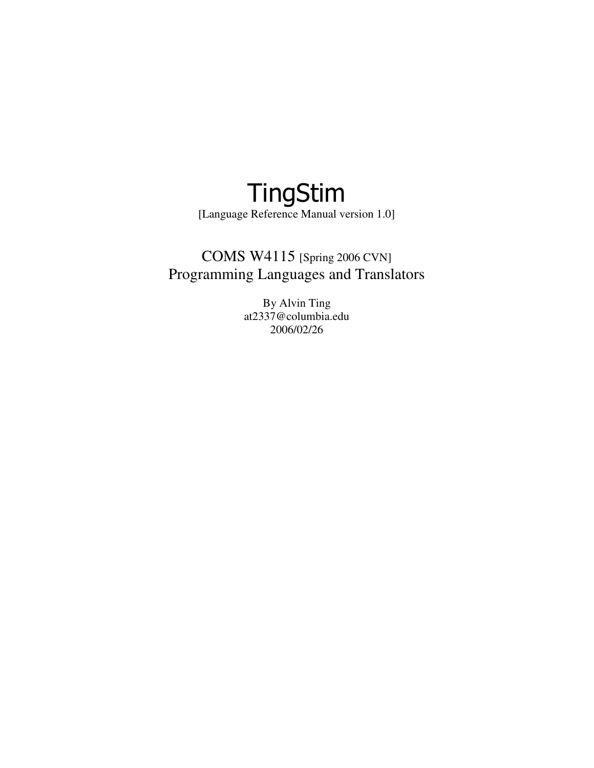# TingStim [Language Reference Manual version 1.0]

## COMS W4115 [Spring 2006 CVN] Programming Languages and Translators

By Alvin Ting at2337@columbia.edu 2006/02/26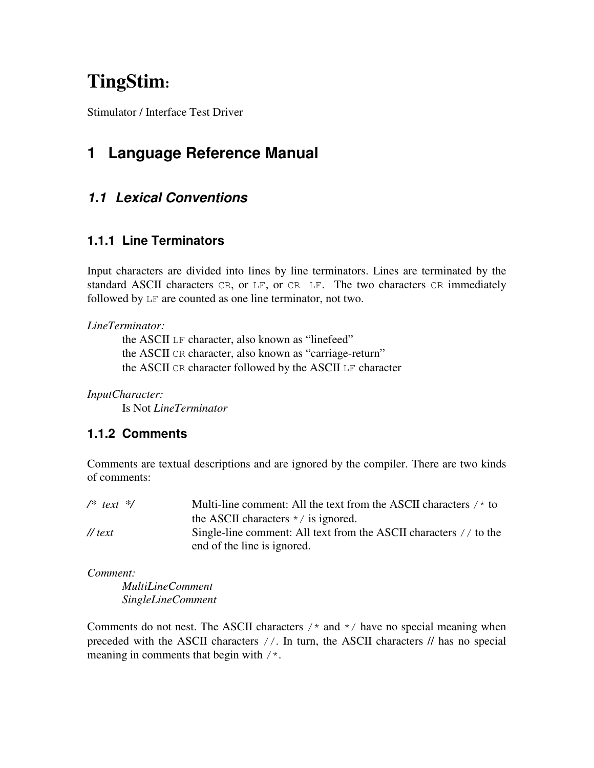# **TingStim:**

Stimulator / Interface Test Driver

## **1 Language Reference Manual**

## **1.1 Lexical Conventions**

### **1.1.1 Line Terminators**

Input characters are divided into lines by line terminators. Lines are terminated by the standard ASCII characters CR, or LF, or CR LF. The two characters CR immediately followed by LF are counted as one line terminator, not two.

#### *LineTerminator:*

 the ASCII LF character, also known as "linefeed" the ASCII CR character, also known as "carriage-return" the ASCII CR character followed by the ASCII LF character

*InputCharacter:* 

Is Not *LineTerminator* 

#### **1.1.2 Comments**

Comments are textual descriptions and are ignored by the compiler. There are two kinds of comments:

| $/*$ text $*/$  | Multi-line comment: All the text from the ASCII characters $/$ * to                              |
|-----------------|--------------------------------------------------------------------------------------------------|
|                 | the ASCII characters $\star$ / is ignored.                                                       |
| $\sqrt{t}$ text | Single-line comment: All text from the ASCII characters // to the<br>end of the line is ignored. |

*Comment:* 

 *MultiLineComment SingleLineComment* 

Comments do not nest. The ASCII characters  $\prime$  and  $\prime$  have no special meaning when preceded with the ASCII characters //. In turn, the ASCII characters // has no special meaning in comments that begin with /\*.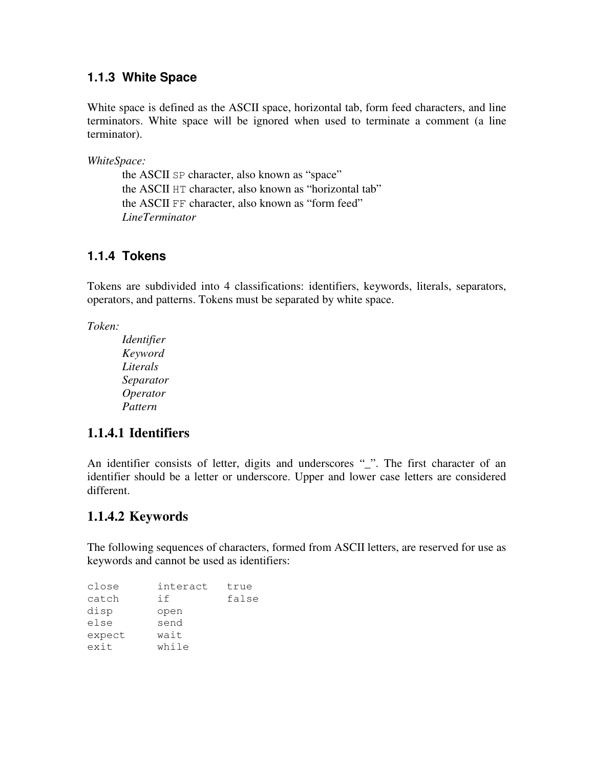#### **1.1.3 White Space**

White space is defined as the ASCII space, horizontal tab, form feed characters, and line terminators. White space will be ignored when used to terminate a comment (a line terminator).

*WhiteSpace:* 

 the ASCII SP character, also known as "space" the ASCII HT character, also known as "horizontal tab" the ASCII FF character, also known as "form feed" *LineTerminator* 

#### **1.1.4 Tokens**

Tokens are subdivided into 4 classifications: identifiers, keywords, literals, separators, operators, and patterns. Tokens must be separated by white space.

*Token:* 

 *Identifier Keyword Literals Separator Operator Pattern* 

#### **1.1.4.1 Identifiers**

An identifier consists of letter, digits and underscores "\_". The first character of an identifier should be a letter or underscore. Upper and lower case letters are considered different.

#### **1.1.4.2 Keywords**

The following sequences of characters, formed from ASCII letters, are reserved for use as keywords and cannot be used as identifiers:

| close  | interact | true  |
|--------|----------|-------|
| catch  | if       | false |
| disp   | open     |       |
| else   | send     |       |
| expect | wait     |       |
| exit   | while    |       |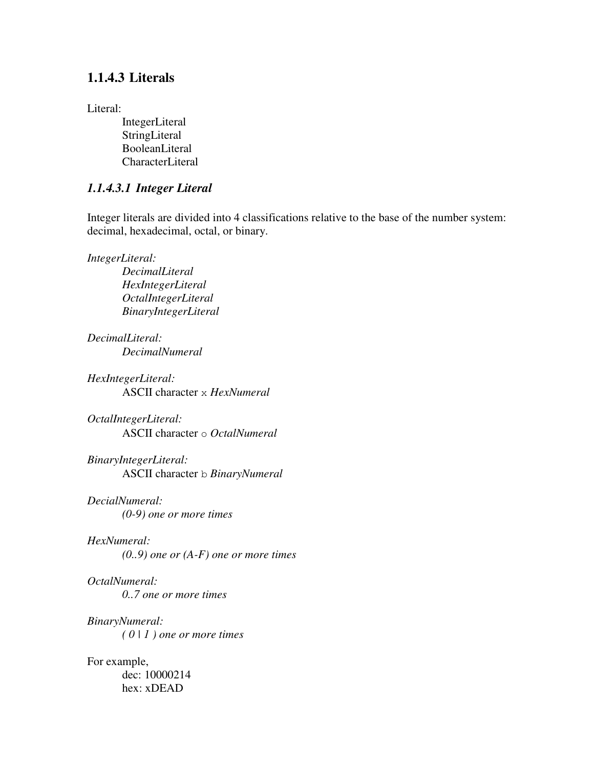#### **1.1.4.3 Literals**

#### Literal:

 IntegerLiteral StringLiteral BooleanLiteral CharacterLiteral

#### *1.1.4.3.1 Integer Literal*

Integer literals are divided into 4 classifications relative to the base of the number system: decimal, hexadecimal, octal, or binary.

*IntegerLiteral:* 

 *DecimalLiteral HexIntegerLiteral OctalIntegerLiteral BinaryIntegerLiteral* 

*DecimalLiteral: DecimalNumeral* 

*HexIntegerLiteral:*  ASCII character x *HexNumeral* 

*OctalIntegerLiteral:*  ASCII character o *OctalNumeral*

*BinaryIntegerLiteral:*  ASCII character b *BinaryNumeral*

*DecialNumeral: (0-9) one or more times* 

#### *HexNumeral:*

 *(0..9) one or (A-F) one or more times* 

*OctalNumeral: 0..7 one or more times* 

*BinaryNumeral: ( 0 | 1 ) one or more times* 

For example, dec: 10000214 hex: xDEAD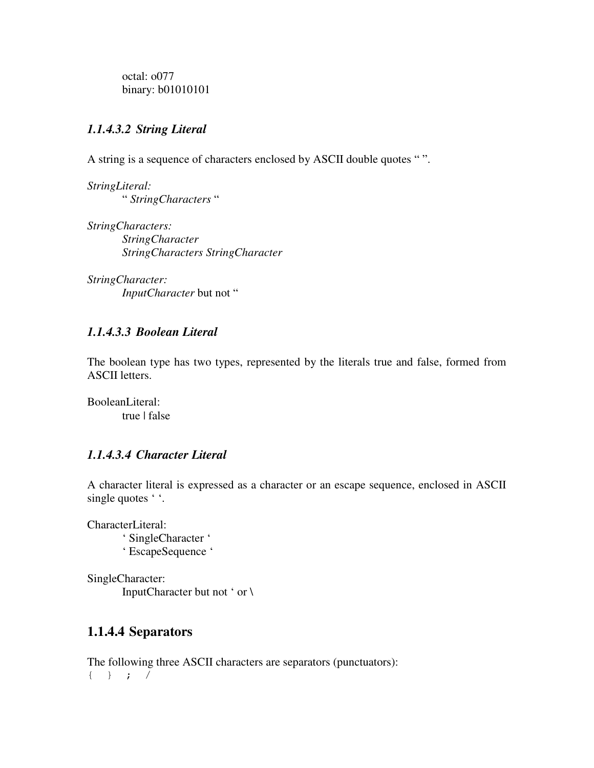octal: o077 binary: **b01010101** 

#### *1.1.4.3.2 String Literal*

A string is a sequence of characters enclosed by ASCII double quotes " ".

*StringLiteral:*  " *StringCharacters* "

*StringCharacters: StringCharacter StringCharacters StringCharacter* 

*StringCharacter: InputCharacter* but not "

#### *1.1.4.3.3 Boolean Literal*

The boolean type has two types, represented by the literals true and false, formed from ASCII letters.

BooleanLiteral: true | false

#### *1.1.4.3.4 Character Literal*

A character literal is expressed as a character or an escape sequence, enclosed in ASCII single quotes '.

CharacterLiteral: ' SingleCharacter ' ' EscapeSequence '

SingleCharacter: InputCharacter but not ' or \

#### **1.1.4.4 Separators**

The following three ASCII characters are separators (punctuators): { } ; /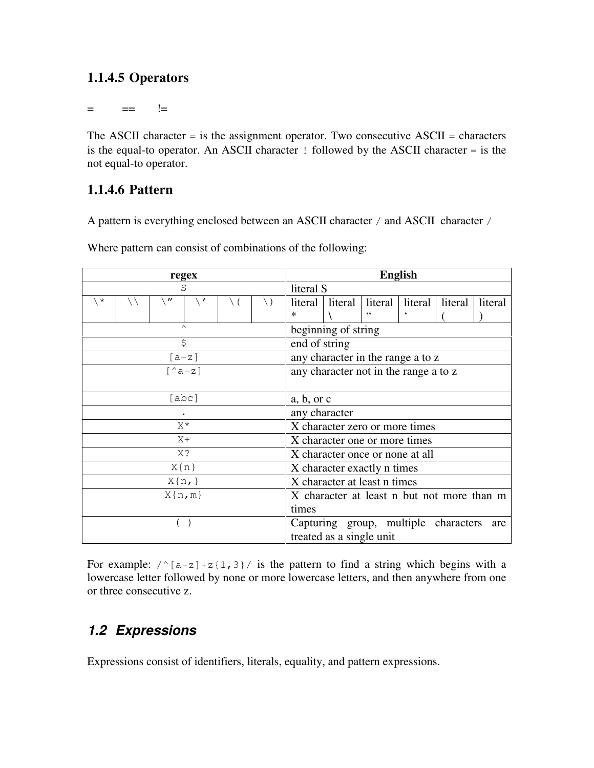## **1.1.4.5 Operators**

= == !=

The ASCII character  $=$  is the assignment operator. Two consecutive ASCII  $=$  characters is the equal-to operator. An ASCII character ! followed by the ASCII character = is the not equal-to operator.

## **1.1.4.6 Pattern**

A pattern is everything enclosed between an ASCII character / and ASCII character /

| regex              | <b>English</b>                                                  |  |  |
|--------------------|-----------------------------------------------------------------|--|--|
| S                  | literal S                                                       |  |  |
| $\star$<br>"<br>\) | literal<br>literal   literal  <br>literal<br>literal<br>literal |  |  |
|                    | $\ast$<br>۷                                                     |  |  |
| $\wedge$           | beginning of string                                             |  |  |
| \$                 | end of string                                                   |  |  |
| $[a-z]$            | any character in the range a to z                               |  |  |
| $[^{\wedge}a-z]$   | any character not in the range a to z                           |  |  |
|                    |                                                                 |  |  |
| [abc]              | a, b, or c                                                      |  |  |
|                    | any character                                                   |  |  |
| $X^{\star}$        | X character zero or more times                                  |  |  |
| $X +$              | X character one or more times                                   |  |  |
| X?                 | X character once or none at all                                 |  |  |
| $X\{n\}$           | X character exactly n times                                     |  |  |
| $X\{n, \}$         | X character at least n times                                    |  |  |
| $X\{n,m\}$         | X character at least n but not more than m                      |  |  |
|                    | times                                                           |  |  |
|                    | Capturing group, multiple characters<br>are                     |  |  |
|                    | treated as a single unit                                        |  |  |

Where pattern can consist of combinations of the following:

For example:  $\sqrt{\{a-z\}+z\{1,3\}}/$  is the pattern to find a string which begins with a lowercase letter followed by none or more lowercase letters, and then anywhere from one or three consecutive z.

## **1.2 Expressions**

Expressions consist of identifiers, literals, equality, and pattern expressions.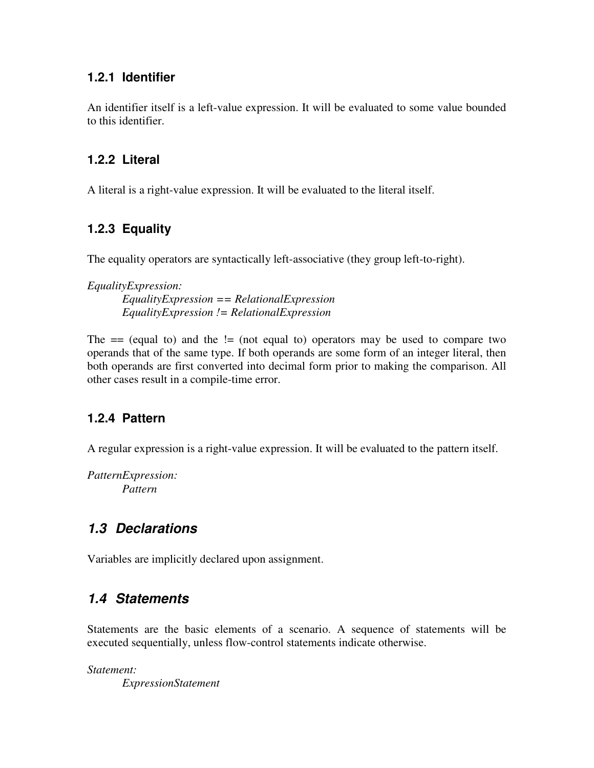#### **1.2.1 Identifier**

An identifier itself is a left-value expression. It will be evaluated to some value bounded to this identifier.

#### **1.2.2 Literal**

A literal is a right-value expression. It will be evaluated to the literal itself.

### **1.2.3 Equality**

The equality operators are syntactically left-associative (they group left-to-right).

*EqualityExpression: EqualityExpression == RelationalExpression EqualityExpression != RelationalExpression* 

The  $=$  (equal to) and the  $=$  (not equal to) operators may be used to compare two operands that of the same type. If both operands are some form of an integer literal, then both operands are first converted into decimal form prior to making the comparison. All other cases result in a compile-time error.

## **1.2.4 Pattern**

A regular expression is a right-value expression. It will be evaluated to the pattern itself.

*PatternExpression: Pattern* 

## **1.3 Declarations**

Variables are implicitly declared upon assignment.

## **1.4 Statements**

Statements are the basic elements of a scenario. A sequence of statements will be executed sequentially, unless flow-control statements indicate otherwise.

*Statement: ExpressionStatement*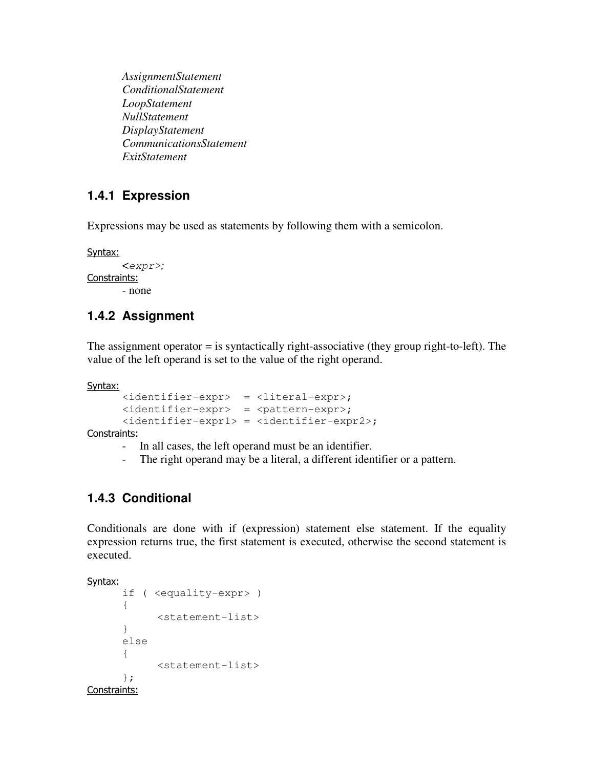*AssignmentStatement ConditionalStatement LoopStatement NullStatement DisplayStatement CommunicationsStatement ExitStatement* 

### **1.4.1 Expression**

Expressions may be used as statements by following them with a semicolon.

Syntax:

```
 <expr>; 
Constraints: 
        - none
```
### **1.4.2 Assignment**

The assignment operator = is syntactically right-associative (they group right-to-left). The value of the left operand is set to the value of the right operand.

Syntax:

```
 <identifier-expr> = <literal-expr>; 
 <identifier-expr> = <pattern-expr>; 
 <identifier-expr1> = <identifier-expr2>;
```
Constraints:

- In all cases, the left operand must be an identifier.
- The right operand may be a literal, a different identifier or a pattern.

## **1.4.3 Conditional**

Conditionals are done with if (expression) statement else statement. If the equality expression returns true, the first statement is executed, otherwise the second statement is executed.

Syntax:

```
 if ( <equality-expr> ) 
        { 
               <statement-list> 
        } 
       else 
        { 
               <statement-list> 
        }; 
Constraints:
```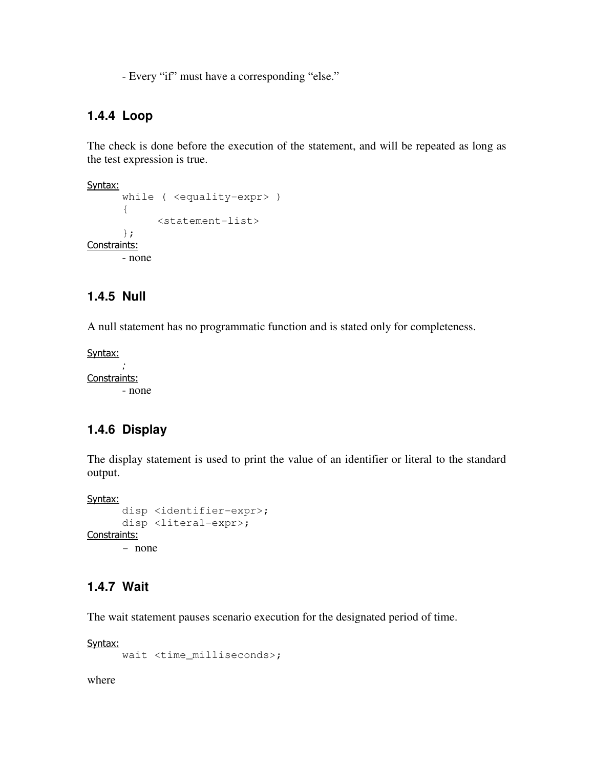- Every "if" must have a corresponding "else."

#### **1.4.4 Loop**

The check is done before the execution of the statement, and will be repeated as long as the test expression is true.

```
Syntax:
        while ( <equality-expr> ) 
        { 
               <statement-list> 
        }; 
Constraints: 
       - none
```
#### **1.4.5 Null**

A null statement has no programmatic function and is stated only for completeness.

Syntax:

 *;*  Constraints: - none

#### **1.4.6 Display**

The display statement is used to print the value of an identifier or literal to the standard output.

```
Syntax:
       disp <identifier-expr>; 
      disp <literal-expr>; 
Constraints:
```
## - none

#### **1.4.7 Wait**

The wait statement pauses scenario execution for the designated period of time.

Syntax:

wait <time\_milliseconds>;

where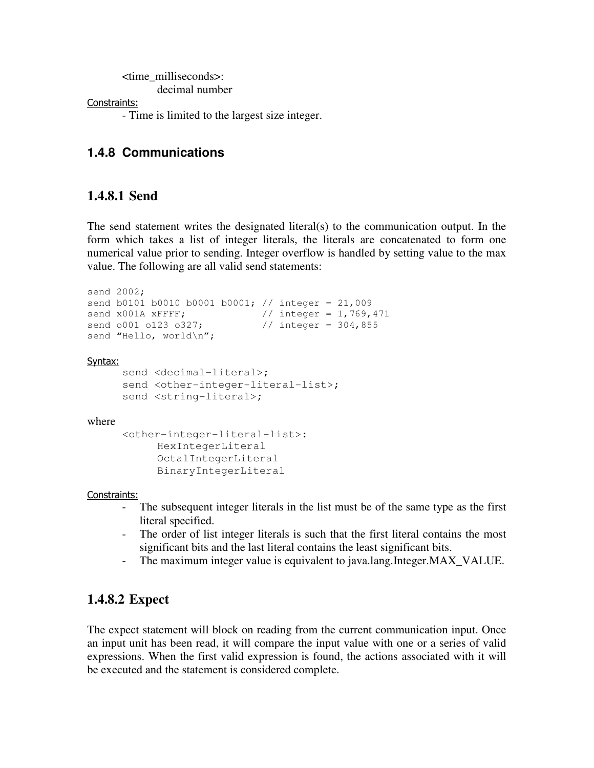<time\_milliseconds>:

decimal number

Constraints:

- Time is limited to the largest size integer.

### **1.4.8 Communications**

## **1.4.8.1 Send**

The send statement writes the designated literal(s) to the communication output. In the form which takes a list of integer literals, the literals are concatenated to form one numerical value prior to sending. Integer overflow is handled by setting value to the max value. The following are all valid send statements:

```
send 2002; 
send b0101 b0010 b0001 b0001; // integer = 21,009
send x001A xFFFF; \frac{1}{100} // integer = 1,769,471
send 0001 0123 0327; // integer = 304,855
send "Hello, world\n";
Syntax:
     send <decimal-literal>;
     send <other-integer-literal-list>;
     send <string-literal>;
where 
       <other-integer-literal-list>: 
            HexIntegerLiteral 
            OctalIntegerLiteral 
            BinaryIntegerLiteral
```
Constraints:

- The subsequent integer literals in the list must be of the same type as the first literal specified.
- The order of list integer literals is such that the first literal contains the most significant bits and the last literal contains the least significant bits.
- The maximum integer value is equivalent to java.lang.Integer.MAX\_VALUE.

## **1.4.8.2 Expect**

The expect statement will block on reading from the current communication input. Once an input unit has been read, it will compare the input value with one or a series of valid expressions. When the first valid expression is found, the actions associated with it will be executed and the statement is considered complete.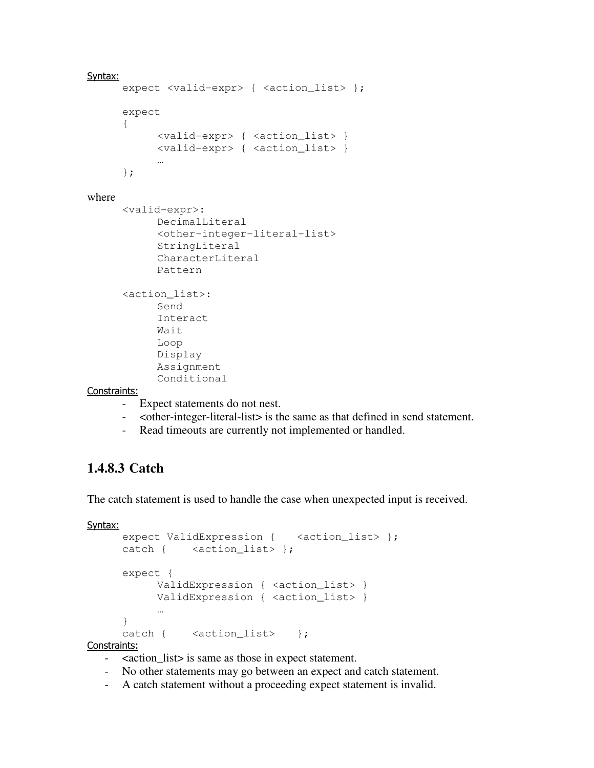```
Syntax:
      expect <valid-expr> { <action_list> };
       expect 
       { 
             <valid-expr> { <action_list> } 
             <valid-expr> { <action_list> } 
 … 
       }; 
where 
       <valid-expr>: 
             DecimalLiteral 
             <other-integer-literal-list> 
             StringLiteral 
             CharacterLiteral 
             Pattern 
       <action_list>: 
             Send 
             Interact 
             Wait 
             Loop 
             Display 
             Assignment 
             Conditional 
Constraints:
```
- Expect statements do not nest.
- <other-integer-literal-list> is the same as that defined in send statement.
- Read timeouts are currently not implemented or handled.

## **1.4.8.3 Catch**

The catch statement is used to handle the case when unexpected input is received.

```
Syntax:
```

```
expect ValidExpression { <action_list> };
    catch { <action_list> };
     expect { 
         ValidExpression { <action_list> }
         ValidExpression { <action_list> }
 … 
      } 
    catch { <action_list> };
```
Constraints:

- <action\_list> is same as those in expect statement.
- No other statements may go between an expect and catch statement.
- A catch statement without a proceeding expect statement is invalid.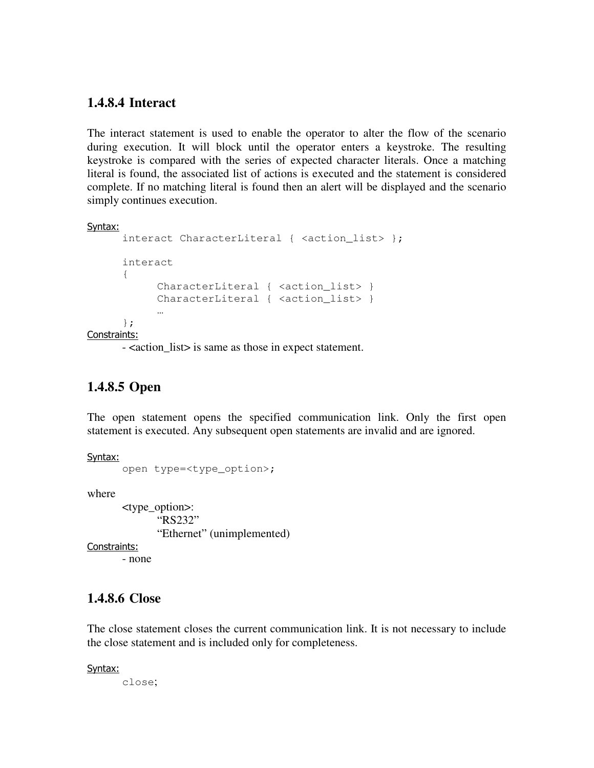#### **1.4.8.4 Interact**

The interact statement is used to enable the operator to alter the flow of the scenario during execution. It will block until the operator enters a keystroke. The resulting keystroke is compared with the series of expected character literals. Once a matching literal is found, the associated list of actions is executed and the statement is considered complete. If no matching literal is found then an alert will be displayed and the scenario simply continues execution.

#### Syntax:

```
interact CharacterLiteral { <action_list> };
      interact 
      { 
           CharacterLiteral { <action_list> }
           CharacterLiteral { <action_list> }
 … 
      }; 
Constraints:
```
- <action\_list> is same as those in expect statement.

## **1.4.8.5 Open**

The open statement opens the specified communication link. Only the first open statement is executed. Any subsequent open statements are invalid and are ignored.

Syntax:

```
 open type=<type_option>;
```
where

 <type\_option>: "RS232" "Ethernet" (unimplemented)

Constraints:

- none

#### **1.4.8.6 Close**

The close statement closes the current communication link. It is not necessary to include the close statement and is included only for completeness.

Syntax:

close;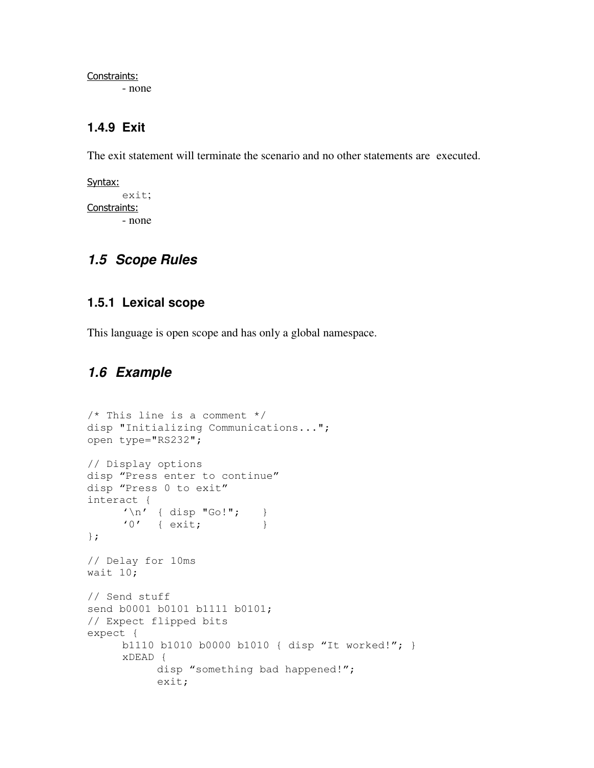Constraints:

- none

### **1.4.9 Exit**

The exit statement will terminate the scenario and no other statements are executed.

```
Syntax:
         exit; 
Constraints: 
         - none
```
## **1.5 Scope Rules**

#### **1.5.1 Lexical scope**

This language is open scope and has only a global namespace.

## **1.6 Example**

```
/* This line is a comment */ 
disp "Initializing Communications..."; 
open type="RS232"; 
// Display options 
disp "Press enter to continue" 
disp "Press 0 to exit" 
interact { 
'\n\backslash n' { disp "Go!"; }
'0' { exit; }
}; 
// Delay for 10ms 
wait 10; 
// Send stuff 
send b0001 b0101 b1111 b0101; 
// Expect flipped bits 
expect { 
      b1110 b1010 b0000 b1010 { disp "It worked!"; } 
      xDEAD { 
            disp "something bad happened!"; 
            exit;
```